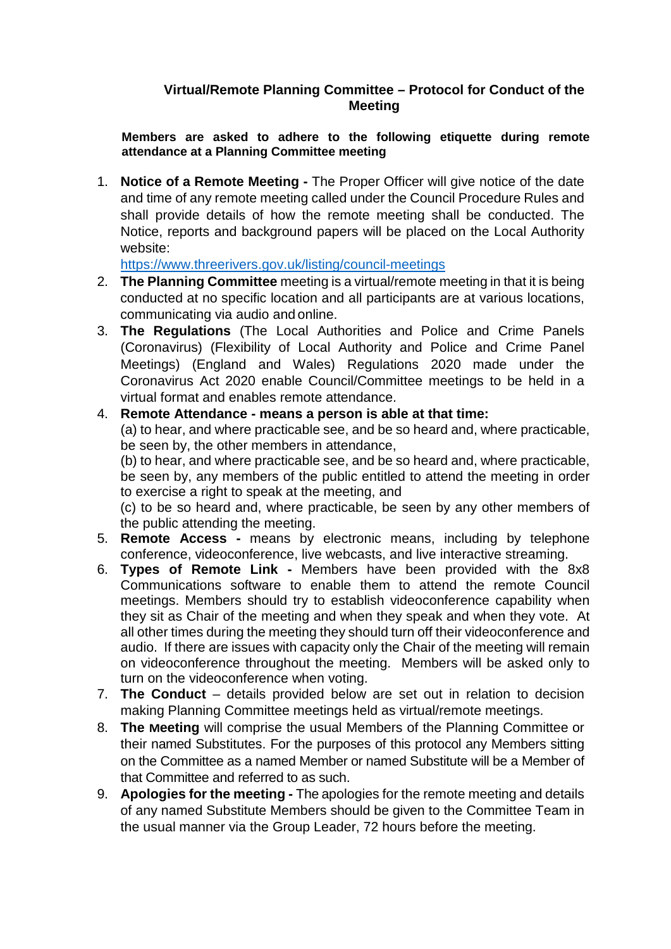## **Virtual/Remote Planning Committee – Protocol for Conduct of the Meeting**

**Members are asked to adhere to the following etiquette during remote attendance at a Planning Committee meeting**

1. **Notice of a Remote Meeting -** The Proper Officer will give notice of the date and time of any remote meeting called under the Council Procedure Rules and shall provide details of how the remote meeting shall be conducted. The Notice, reports and background papers will be placed on the Local Authority website:

<https://www.threerivers.gov.uk/listing/council-meetings>

- 2. **The Planning Committee** meeting is a virtual/remote meeting in that it is being conducted at no specific location and all participants are at various locations, communicating via audio and online.
- 3. **The Regulations** (The Local Authorities and Police and Crime Panels (Coronavirus) (Flexibility of Local Authority and Police and Crime Panel Meetings) (England and Wales) Regulations 2020 made under the Coronavirus Act 2020 enable Council/Committee meetings to be held in a virtual format and enables remote attendance.

4. **Remote Attendance - means a person is able at that time:**

(a) to hear, and where practicable see, and be so heard and, where practicable, be seen by, the other members in attendance,

(b) to hear, and where practicable see, and be so heard and, where practicable, be seen by, any members of the public entitled to attend the meeting in order to exercise a right to speak at the meeting, and

(c) to be so heard and, where practicable, be seen by any other members of the public attending the meeting.

- 5. **Remote Access -** means by electronic means, including by telephone conference, videoconference, live webcasts, and live interactive streaming.
- 6. **Types of Remote Link -** Members have been provided with the 8x8 Communications software to enable them to attend the remote Council meetings. Members should try to establish videoconference capability when they sit as Chair of the meeting and when they speak and when they vote. At all other times during the meeting they should turn off their videoconference and audio. If there are issues with capacity only the Chair of the meeting will remain on videoconference throughout the meeting. Members will be asked only to turn on the videoconference when voting.
- 7. **The Conduct** details provided below are set out in relation to decision making Planning Committee meetings held as virtual/remote meetings.
- 8. **The Meeting** will comprise the usual Members of the Planning Committee or their named Substitutes. For the purposes of this protocol any Members sitting on the Committee as a named Member or named Substitute will be a Member of that Committee and referred to as such.
- 9. **Apologies for the meeting -** The apologies for the remote meeting and details of any named Substitute Members should be given to the Committee Team in the usual manner via the Group Leader, 72 hours before the meeting.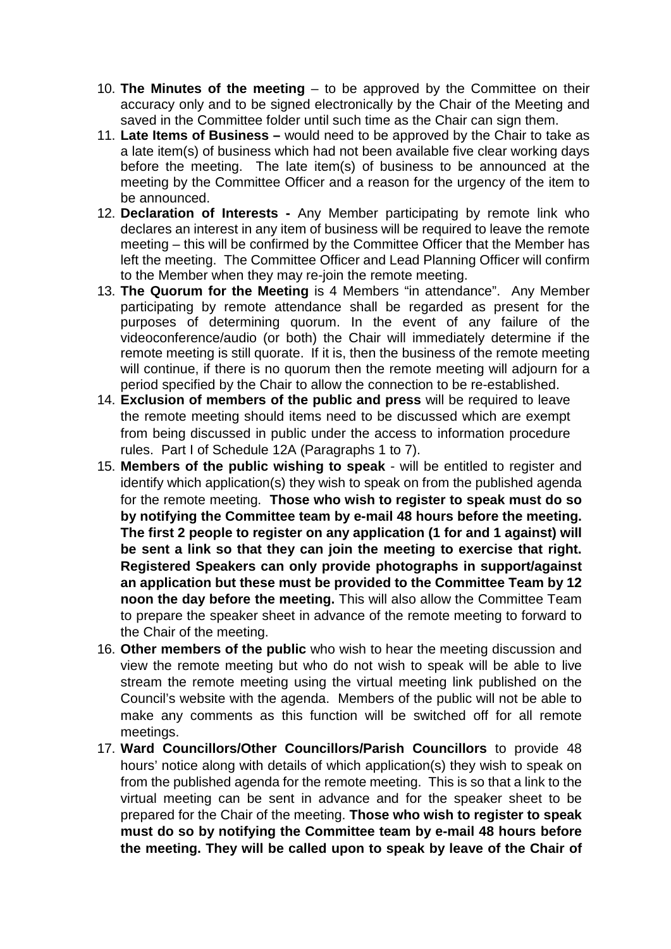- 10. **The Minutes of the meeting**  to be approved by the Committee on their accuracy only and to be signed electronically by the Chair of the Meeting and saved in the Committee folder until such time as the Chair can sign them.
- 11. **Late Items of Business –** would need to be approved by the Chair to take as a late item(s) of business which had not been available five clear working days before the meeting. The late item(s) of business to be announced at the meeting by the Committee Officer and a reason for the urgency of the item to be announced.
- 12. **Declaration of Interests -** Any Member participating by remote link who declares an interest in any item of business will be required to leave the remote meeting – this will be confirmed by the Committee Officer that the Member has left the meeting. The Committee Officer and Lead Planning Officer will confirm to the Member when they may re-join the remote meeting.
- 13. **The Quorum for the Meeting** is 4 Members "in attendance". Any Member participating by remote attendance shall be regarded as present for the purposes of determining quorum. In the event of any failure of the videoconference/audio (or both) the Chair will immediately determine if the remote meeting is still quorate. If it is, then the business of the remote meeting will continue, if there is no quorum then the remote meeting will adjourn for a period specified by the Chair to allow the connection to be re-established.
- 14. **Exclusion of members of the public and press** will be required to leave the remote meeting should items need to be discussed which are exempt from being discussed in public under the access to information procedure rules. Part I of Schedule 12A (Paragraphs 1 to 7).
- 15. **Members of the public wishing to speak** will be entitled to register and identify which application(s) they wish to speak on from the published agenda for the remote meeting. **Those who wish to register to speak must do so by notifying the Committee team by e-mail 48 hours before the meeting. The first 2 people to register on any application (1 for and 1 against) will be sent a link so that they can join the meeting to exercise that right. Registered Speakers can only provide photographs in support/against an application but these must be provided to the Committee Team by 12 noon the day before the meeting.** This will also allow the Committee Team to prepare the speaker sheet in advance of the remote meeting to forward to the Chair of the meeting.
- 16. **Other members of the public** who wish to hear the meeting discussion and view the remote meeting but who do not wish to speak will be able to live stream the remote meeting using the virtual meeting link published on the Council's website with the agenda. Members of the public will not be able to make any comments as this function will be switched off for all remote meetings.
- 17. **Ward Councillors/Other Councillors/Parish Councillors** to provide 48 hours' notice along with details of which application(s) they wish to speak on from the published agenda for the remote meeting. This is so that a link to the virtual meeting can be sent in advance and for the speaker sheet to be prepared for the Chair of the meeting. **Those who wish to register to speak must do so by notifying the Committee team by e-mail 48 hours before the meeting. They will be called upon to speak by leave of the Chair of**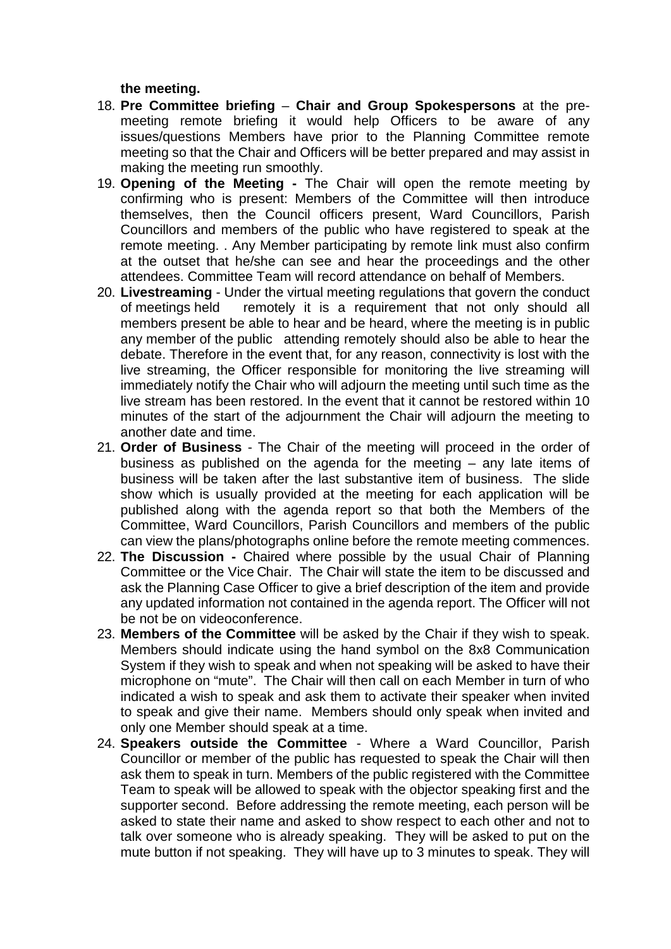**the meeting.**

- 18. **Pre Committee briefing Chair and Group Spokespersons** at the premeeting remote briefing it would help Officers to be aware of any issues/questions Members have prior to the Planning Committee remote meeting so that the Chair and Officers will be better prepared and may assist in making the meeting run smoothly.
- 19. **Opening of the Meeting -** The Chair will open the remote meeting by confirming who is present: Members of the Committee will then introduce themselves, then the Council officers present, Ward Councillors, Parish Councillors and members of the public who have registered to speak at the remote meeting. . Any Member participating by remote link must also confirm at the outset that he/she can see and hear the proceedings and the other attendees. Committee Team will record attendance on behalf of Members.
- 20. **Livestreaming** Under the virtual meeting regulations that govern the conduct of meetings held remotely it is a requirement that not only should all members present be able to hear and be heard, where the meeting is in public any member of the public attending remotely should also be able to hear the debate. Therefore in the event that, for any reason, connectivity is lost with the live streaming, the Officer responsible for monitoring the live streaming will immediately notify the Chair who will adjourn the meeting until such time as the live stream has been restored. In the event that it cannot be restored within 10 minutes of the start of the adjournment the Chair will adjourn the meeting to another date and time.
- 21. **Order of Business** The Chair of the meeting will proceed in the order of business as published on the agenda for the meeting – any late items of business will be taken after the last substantive item of business. The slide show which is usually provided at the meeting for each application will be published along with the agenda report so that both the Members of the Committee, Ward Councillors, Parish Councillors and members of the public can view the plans/photographs online before the remote meeting commences.
- 22. **The Discussion -** Chaired where possible by the usual Chair of Planning Committee or the Vice Chair. The Chair will state the item to be discussed and ask the Planning Case Officer to give a brief description of the item and provide any updated information not contained in the agenda report. The Officer will not be not be on videoconference.
- 23. **Members of the Committee** will be asked by the Chair if they wish to speak. Members should indicate using the hand symbol on the 8x8 Communication System if they wish to speak and when not speaking will be asked to have their microphone on "mute". The Chair will then call on each Member in turn of who indicated a wish to speak and ask them to activate their speaker when invited to speak and give their name. Members should only speak when invited and only one Member should speak at a time.
- 24. **Speakers outside the Committee** Where a Ward Councillor, Parish Councillor or member of the public has requested to speak the Chair will then ask them to speak in turn. Members of the public registered with the Committee Team to speak will be allowed to speak with the objector speaking first and the supporter second. Before addressing the remote meeting, each person will be asked to state their name and asked to show respect to each other and not to talk over someone who is already speaking. They will be asked to put on the mute button if not speaking. They will have up to 3 minutes to speak. They will